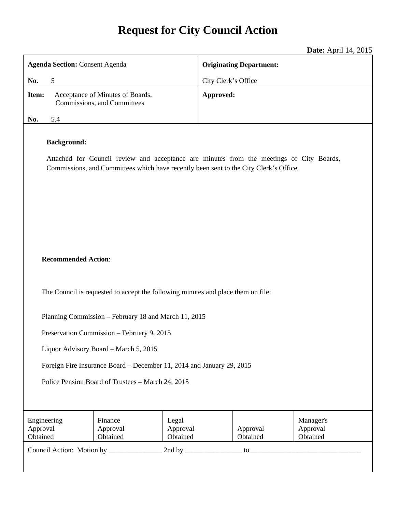# **Request for City Council Action**

**Date:** April 14, 2015

| <b>Agenda Section: Consent Agenda</b>                                                                                                                                                                   |                                                                 |                               | <b>Originating Department:</b> |                                   |  |
|---------------------------------------------------------------------------------------------------------------------------------------------------------------------------------------------------------|-----------------------------------------------------------------|-------------------------------|--------------------------------|-----------------------------------|--|
| 5<br>No.                                                                                                                                                                                                |                                                                 |                               | City Clerk's Office            |                                   |  |
| Item:                                                                                                                                                                                                   | Acceptance of Minutes of Boards,<br>Commissions, and Committees |                               | Approved:                      |                                   |  |
| 5.4<br>No.                                                                                                                                                                                              |                                                                 |                               |                                |                                   |  |
| <b>Background:</b><br>Attached for Council review and acceptance are minutes from the meetings of City Boards,<br>Commissions, and Committees which have recently been sent to the City Clerk's Office. |                                                                 |                               |                                |                                   |  |
| <b>Recommended Action:</b><br>The Council is requested to accept the following minutes and place them on file:                                                                                          |                                                                 |                               |                                |                                   |  |
| Planning Commission – February 18 and March 11, 2015                                                                                                                                                    |                                                                 |                               |                                |                                   |  |
| Preservation Commission - February 9, 2015                                                                                                                                                              |                                                                 |                               |                                |                                   |  |
| Liquor Advisory Board - March 5, 2015                                                                                                                                                                   |                                                                 |                               |                                |                                   |  |
| Foreign Fire Insurance Board - December 11, 2014 and January 29, 2015                                                                                                                                   |                                                                 |                               |                                |                                   |  |
| Police Pension Board of Trustees - March 24, 2015                                                                                                                                                       |                                                                 |                               |                                |                                   |  |
| Engineering<br>Approval<br>Obtained                                                                                                                                                                     | Finance<br>Approval<br>Obtained                                 | Legal<br>Approval<br>Obtained | Approval<br>Obtained           | Manager's<br>Approval<br>Obtained |  |
|                                                                                                                                                                                                         |                                                                 |                               |                                |                                   |  |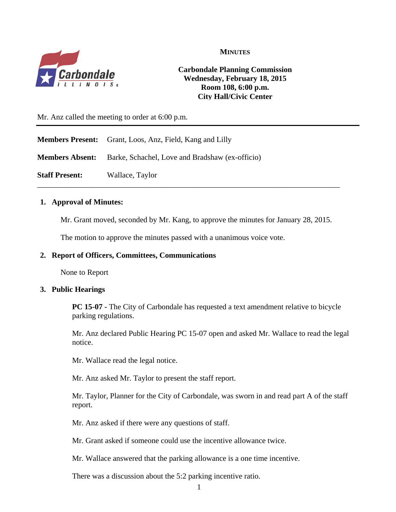

### **MINUTES**

# **Carbondale Planning Commission Wednesday, February 18, 2015 Room 108, 6:00 p.m. City Hall/Civic Center**

Mr. Anz called the meeting to order at 6:00 p.m.

**Members Present:** Grant, Loos, Anz, Field, Kang and Lilly

**Members Absent:** Barke, Schachel, Love and Bradshaw (ex-officio)

**Staff Present:** Wallace, Taylor

#### **1. Approval of Minutes:**

Mr. Grant moved, seconded by Mr. Kang, to approve the minutes for January 28, 2015.

\_\_\_\_\_\_\_\_\_\_\_\_\_\_\_\_\_\_\_\_\_\_\_\_\_\_\_\_\_\_\_\_\_\_\_\_\_\_\_\_\_\_\_\_\_\_\_\_\_\_\_\_\_\_\_\_\_\_\_\_\_\_\_\_\_\_\_\_\_\_\_\_\_\_\_\_\_\_

The motion to approve the minutes passed with a unanimous voice vote.

#### **2. Report of Officers, Committees, Communications**

None to Report

#### **3. Public Hearings**

**PC 15-07 - The City of Carbondale has requested a text amendment relative to bicycle** parking regulations.

Mr. Anz declared Public Hearing PC 15-07 open and asked Mr. Wallace to read the legal notice.

Mr. Wallace read the legal notice.

Mr. Anz asked Mr. Taylor to present the staff report.

Mr. Taylor, Planner for the City of Carbondale, was sworn in and read part A of the staff report.

Mr. Anz asked if there were any questions of staff.

Mr. Grant asked if someone could use the incentive allowance twice.

Mr. Wallace answered that the parking allowance is a one time incentive.

There was a discussion about the 5:2 parking incentive ratio.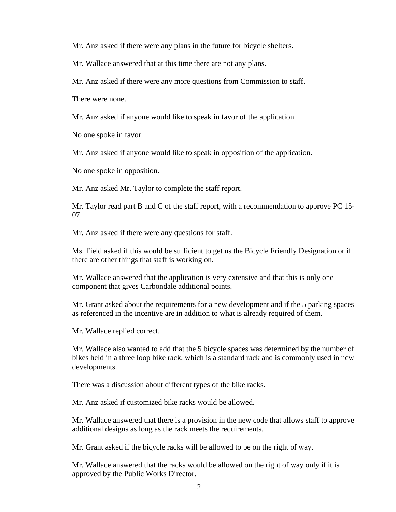Mr. Anz asked if there were any plans in the future for bicycle shelters.

Mr. Wallace answered that at this time there are not any plans.

Mr. Anz asked if there were any more questions from Commission to staff.

There were none.

Mr. Anz asked if anyone would like to speak in favor of the application.

No one spoke in favor.

Mr. Anz asked if anyone would like to speak in opposition of the application.

No one spoke in opposition.

Mr. Anz asked Mr. Taylor to complete the staff report.

Mr. Taylor read part B and C of the staff report, with a recommendation to approve PC 15- 07.

Mr. Anz asked if there were any questions for staff.

Ms. Field asked if this would be sufficient to get us the Bicycle Friendly Designation or if there are other things that staff is working on.

Mr. Wallace answered that the application is very extensive and that this is only one component that gives Carbondale additional points.

Mr. Grant asked about the requirements for a new development and if the 5 parking spaces as referenced in the incentive are in addition to what is already required of them.

Mr. Wallace replied correct.

Mr. Wallace also wanted to add that the 5 bicycle spaces was determined by the number of bikes held in a three loop bike rack, which is a standard rack and is commonly used in new developments.

There was a discussion about different types of the bike racks.

Mr. Anz asked if customized bike racks would be allowed.

Mr. Wallace answered that there is a provision in the new code that allows staff to approve additional designs as long as the rack meets the requirements.

Mr. Grant asked if the bicycle racks will be allowed to be on the right of way.

Mr. Wallace answered that the racks would be allowed on the right of way only if it is approved by the Public Works Director.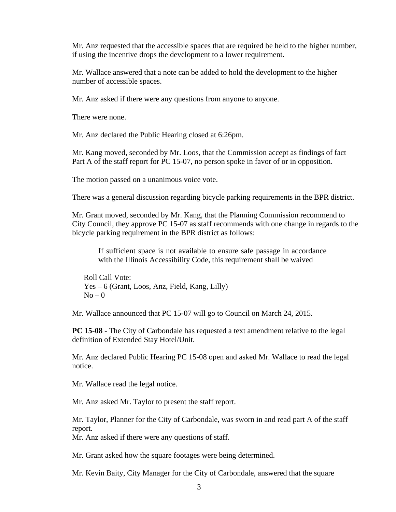Mr. Anz requested that the accessible spaces that are required be held to the higher number, if using the incentive drops the development to a lower requirement.

Mr. Wallace answered that a note can be added to hold the development to the higher number of accessible spaces.

Mr. Anz asked if there were any questions from anyone to anyone.

There were none.

Mr. Anz declared the Public Hearing closed at 6:26pm.

Mr. Kang moved, seconded by Mr. Loos, that the Commission accept as findings of fact Part A of the staff report for PC 15-07, no person spoke in favor of or in opposition.

The motion passed on a unanimous voice vote.

There was a general discussion regarding bicycle parking requirements in the BPR district.

Mr. Grant moved, seconded by Mr. Kang, that the Planning Commission recommend to City Council, they approve PC 15-07 as staff recommends with one change in regards to the bicycle parking requirement in the BPR district as follows:

If sufficient space is not available to ensure safe passage in accordance with the Illinois Accessibility Code, this requirement shall be waived

Roll Call Vote: Yes – 6 (Grant, Loos, Anz, Field, Kang, Lilly)  $No - 0$ 

Mr. Wallace announced that PC 15-07 will go to Council on March 24, 2015.

**PC 15-08 - The City of Carbondale has requested a text amendment relative to the legal** definition of Extended Stay Hotel/Unit.

Mr. Anz declared Public Hearing PC 15-08 open and asked Mr. Wallace to read the legal notice.

Mr. Wallace read the legal notice.

Mr. Anz asked Mr. Taylor to present the staff report.

Mr. Taylor, Planner for the City of Carbondale, was sworn in and read part A of the staff report.

Mr. Anz asked if there were any questions of staff.

Mr. Grant asked how the square footages were being determined.

Mr. Kevin Baity, City Manager for the City of Carbondale, answered that the square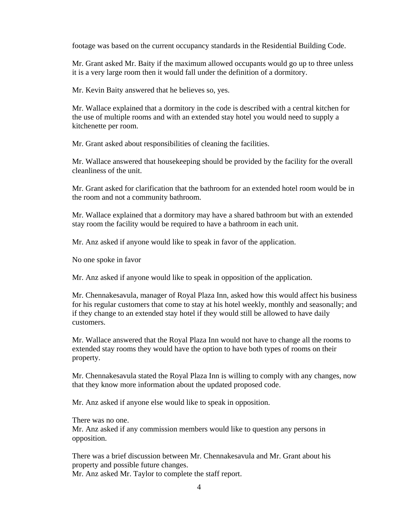footage was based on the current occupancy standards in the Residential Building Code.

Mr. Grant asked Mr. Baity if the maximum allowed occupants would go up to three unless it is a very large room then it would fall under the definition of a dormitory.

Mr. Kevin Baity answered that he believes so, yes.

Mr. Wallace explained that a dormitory in the code is described with a central kitchen for the use of multiple rooms and with an extended stay hotel you would need to supply a kitchenette per room.

Mr. Grant asked about responsibilities of cleaning the facilities.

Mr. Wallace answered that housekeeping should be provided by the facility for the overall cleanliness of the unit.

Mr. Grant asked for clarification that the bathroom for an extended hotel room would be in the room and not a community bathroom.

Mr. Wallace explained that a dormitory may have a shared bathroom but with an extended stay room the facility would be required to have a bathroom in each unit.

Mr. Anz asked if anyone would like to speak in favor of the application.

No one spoke in favor

Mr. Anz asked if anyone would like to speak in opposition of the application.

Mr. Chennakesavula, manager of Royal Plaza Inn, asked how this would affect his business for his regular customers that come to stay at his hotel weekly, monthly and seasonally; and if they change to an extended stay hotel if they would still be allowed to have daily customers.

Mr. Wallace answered that the Royal Plaza Inn would not have to change all the rooms to extended stay rooms they would have the option to have both types of rooms on their property.

Mr. Chennakesavula stated the Royal Plaza Inn is willing to comply with any changes, now that they know more information about the updated proposed code.

Mr. Anz asked if anyone else would like to speak in opposition.

There was no one.

Mr. Anz asked if any commission members would like to question any persons in opposition.

There was a brief discussion between Mr. Chennakesavula and Mr. Grant about his property and possible future changes.

Mr. Anz asked Mr. Taylor to complete the staff report.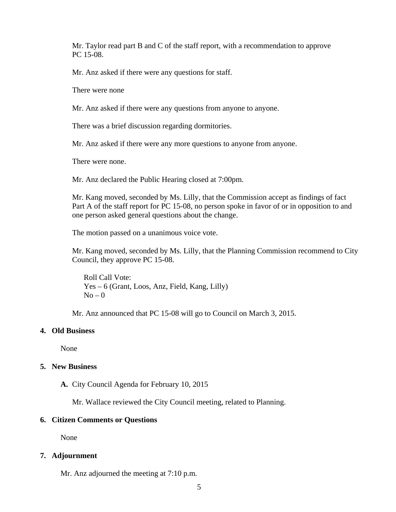Mr. Taylor read part B and C of the staff report, with a recommendation to approve PC 15-08.

Mr. Anz asked if there were any questions for staff.

There were none

Mr. Anz asked if there were any questions from anyone to anyone.

There was a brief discussion regarding dormitories.

Mr. Anz asked if there were any more questions to anyone from anyone.

There were none.

Mr. Anz declared the Public Hearing closed at 7:00pm.

Mr. Kang moved, seconded by Ms. Lilly, that the Commission accept as findings of fact Part A of the staff report for PC 15-08, no person spoke in favor of or in opposition to and one person asked general questions about the change.

The motion passed on a unanimous voice vote.

Mr. Kang moved, seconded by Ms. Lilly, that the Planning Commission recommend to City Council, they approve PC 15-08.

Roll Call Vote: Yes – 6 (Grant, Loos, Anz, Field, Kang, Lilly)  $No - 0$ 

Mr. Anz announced that PC 15-08 will go to Council on March 3, 2015.

#### **4. Old Business**

None

#### **5. New Business**

**A.** City Council Agenda for February 10, 2015

Mr. Wallace reviewed the City Council meeting, related to Planning.

#### **6. Citizen Comments or Questions**

None

# **7. Adjournment**

Mr. Anz adjourned the meeting at 7:10 p.m.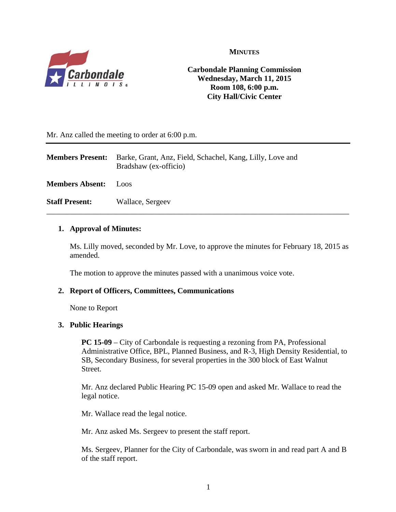

**MINUTES**

# **Carbondale Planning Commission Wednesday, March 11, 2015 Room 108, 6:00 p.m. City Hall/Civic Center**

Mr. Anz called the meeting to order at 6:00 p.m.

| <b>Members Present:</b> | Barke, Grant, Anz, Field, Schachel, Kang, Lilly, Love and<br>Bradshaw (ex-officio) |  |
|-------------------------|------------------------------------------------------------------------------------|--|
| <b>Members Absent:</b>  | LOOS                                                                               |  |
| <b>Staff Present:</b>   | Wallace, Sergeev                                                                   |  |

# **1. Approval of Minutes:**

Ms. Lilly moved, seconded by Mr. Love, to approve the minutes for February 18, 2015 as amended.

The motion to approve the minutes passed with a unanimous voice vote.

# **2. Report of Officers, Committees, Communications**

None to Report

# **3. Public Hearings**

**PC 15-09** – City of Carbondale is requesting a rezoning from PA, Professional Administrative Office, BPL, Planned Business, and R-3, High Density Residential, to SB, Secondary Business, for several properties in the 300 block of East Walnut Street.

Mr. Anz declared Public Hearing PC 15-09 open and asked Mr. Wallace to read the legal notice.

Mr. Wallace read the legal notice.

Mr. Anz asked Ms. Sergeev to present the staff report.

Ms. Sergeev, Planner for the City of Carbondale, was sworn in and read part A and B of the staff report.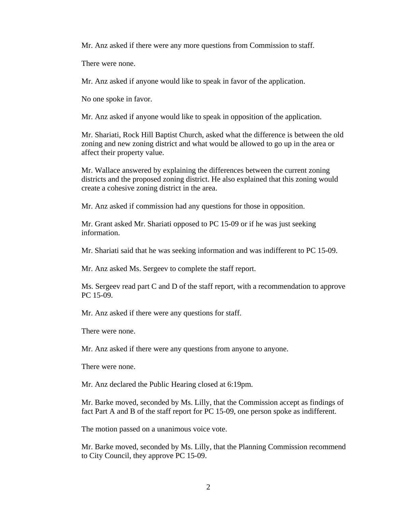Mr. Anz asked if there were any more questions from Commission to staff.

There were none.

Mr. Anz asked if anyone would like to speak in favor of the application.

No one spoke in favor.

Mr. Anz asked if anyone would like to speak in opposition of the application.

Mr. Shariati, Rock Hill Baptist Church, asked what the difference is between the old zoning and new zoning district and what would be allowed to go up in the area or affect their property value.

Mr. Wallace answered by explaining the differences between the current zoning districts and the proposed zoning district. He also explained that this zoning would create a cohesive zoning district in the area.

Mr. Anz asked if commission had any questions for those in opposition.

Mr. Grant asked Mr. Shariati opposed to PC 15-09 or if he was just seeking information.

Mr. Shariati said that he was seeking information and was indifferent to PC 15-09.

Mr. Anz asked Ms. Sergeev to complete the staff report.

Ms. Sergeev read part C and D of the staff report, with a recommendation to approve PC 15-09.

Mr. Anz asked if there were any questions for staff.

There were none.

Mr. Anz asked if there were any questions from anyone to anyone.

There were none.

Mr. Anz declared the Public Hearing closed at 6:19pm.

Mr. Barke moved, seconded by Ms. Lilly, that the Commission accept as findings of fact Part A and B of the staff report for PC 15-09, one person spoke as indifferent.

The motion passed on a unanimous voice vote.

Mr. Barke moved, seconded by Ms. Lilly, that the Planning Commission recommend to City Council, they approve PC 15-09.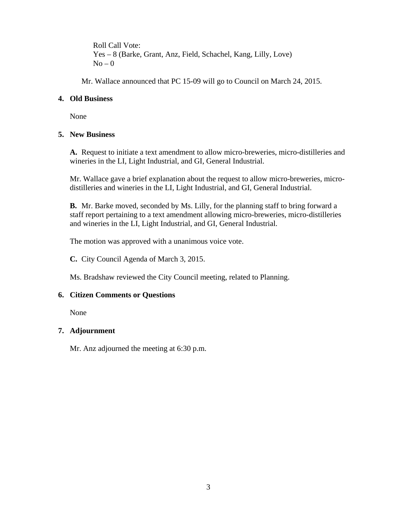Roll Call Vote: Yes – 8 (Barke, Grant, Anz, Field, Schachel, Kang, Lilly, Love)  $No - 0$ 

Mr. Wallace announced that PC 15-09 will go to Council on March 24, 2015.

# **4. Old Business**

None

# **5. New Business**

**A.** Request to initiate a text amendment to allow micro-breweries, micro-distilleries and wineries in the LI, Light Industrial, and GI, General Industrial.

Mr. Wallace gave a brief explanation about the request to allow micro-breweries, microdistilleries and wineries in the LI, Light Industrial, and GI, General Industrial.

**B.** Mr. Barke moved, seconded by Ms. Lilly, for the planning staff to bring forward a staff report pertaining to a text amendment allowing micro-breweries, micro-distilleries and wineries in the LI, Light Industrial, and GI, General Industrial.

The motion was approved with a unanimous voice vote.

**C.** City Council Agenda of March 3, 2015.

Ms. Bradshaw reviewed the City Council meeting, related to Planning.

# **6. Citizen Comments or Questions**

None

# **7. Adjournment**

Mr. Anz adjourned the meeting at 6:30 p.m.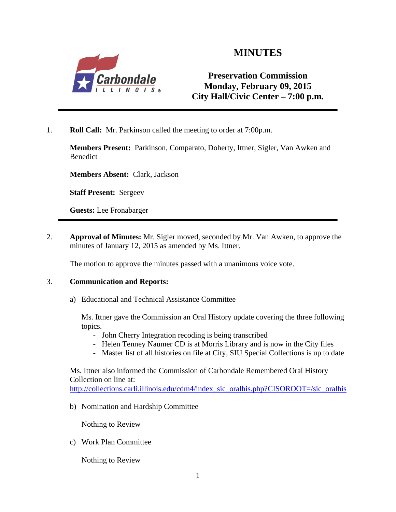

# **MINUTES**

**Preservation Commission Monday, February 09, 2015 City Hall/Civic Center – 7:00 p.m***.*

1. **Roll Call:** Mr. Parkinson called the meeting to order at 7:00p.m.

**Members Present:** Parkinson, Comparato, Doherty, Ittner, Sigler, Van Awken and Benedict

**Members Absent:** Clark, Jackson

**Staff Present:** Sergeev

**Guests:** Lee Fronabarger

2. **Approval of Minutes:** Mr. Sigler moved, seconded by Mr. Van Awken, to approve the minutes of January 12, 2015 as amended by Ms. Ittner.

The motion to approve the minutes passed with a unanimous voice vote.

# 3. **Communication and Reports:**

a) Educational and Technical Assistance Committee

Ms. Ittner gave the Commission an Oral History update covering the three following topics.

- John Cherry Integration recoding is being transcribed
- Helen Tenney Naumer CD is at Morris Library and is now in the City files
- Master list of all histories on file at City, SIU Special Collections is up to date

Ms. Ittner also informed the Commission of Carbondale Remembered Oral History Collection on line at:

http://collections.carli.illinois.edu/cdm4/index\_sic\_oralhis.php?CISOROOT=/sic\_oralhis

b) Nomination and Hardship Committee

Nothing to Review

c) Work Plan Committee

Nothing to Review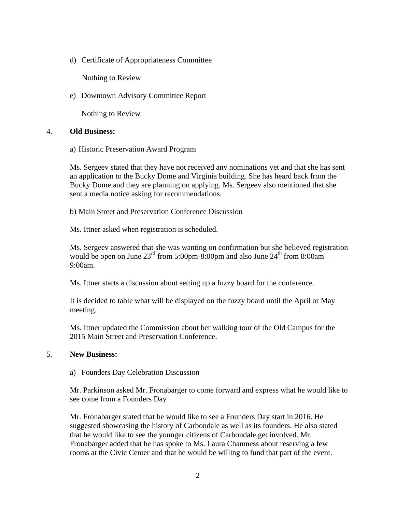d) Certificate of Appropriateness Committee

Nothing to Review

e) Downtown Advisory Committee Report

Nothing to Review

# 4. **Old Business:**

a) Historic Preservation Award Program

Ms. Sergeev stated that they have not received any nominations yet and that she has sent an application to the Bucky Dome and Virginia building. She has heard back from the Bucky Dome and they are planning on applying. Ms. Sergeev also mentioned that she sent a media notice asking for recommendations.

b) Main Street and Preservation Conference Discussion

Ms. Ittner asked when registration is scheduled.

Ms. Sergeev answered that she was wanting on confirmation but she believed registration would be open on June  $23<sup>rd</sup>$  from 5:00pm-8:00pm and also June  $24<sup>th</sup>$  from 8:00am – 9:00am.

Ms. Ittner starts a discussion about setting up a fuzzy board for the conference.

It is decided to table what will be displayed on the fuzzy board until the April or May meeting.

Ms. Ittner updated the Commission about her walking tour of the Old Campus for the 2015 Main Street and Preservation Conference.

# 5. **New Business:**

a) Founders Day Celebration Discussion

Mr. Parkinson asked Mr. Fronabarger to come forward and express what he would like to see come from a Founders Day

Mr. Fronabarger stated that he would like to see a Founders Day start in 2016. He suggested showcasing the history of Carbondale as well as its founders. He also stated that he would like to see the younger citizens of Carbondale get involved. Mr. Fronabarger added that he has spoke to Ms. Laura Chamness about reserving a few rooms at the Civic Center and that he would be willing to fund that part of the event.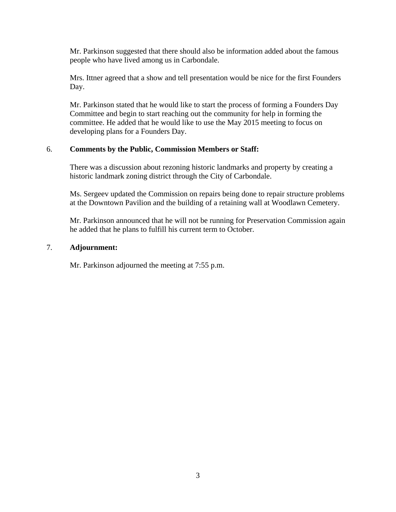Mr. Parkinson suggested that there should also be information added about the famous people who have lived among us in Carbondale.

Mrs. Ittner agreed that a show and tell presentation would be nice for the first Founders Day.

Mr. Parkinson stated that he would like to start the process of forming a Founders Day Committee and begin to start reaching out the community for help in forming the committee. He added that he would like to use the May 2015 meeting to focus on developing plans for a Founders Day.

# 6. **Comments by the Public, Commission Members or Staff:**

There was a discussion about rezoning historic landmarks and property by creating a historic landmark zoning district through the City of Carbondale.

Ms. Sergeev updated the Commission on repairs being done to repair structure problems at the Downtown Pavilion and the building of a retaining wall at Woodlawn Cemetery.

Mr. Parkinson announced that he will not be running for Preservation Commission again he added that he plans to fulfill his current term to October.

# 7. **Adjournment:**

Mr. Parkinson adjourned the meeting at 7:55 p.m.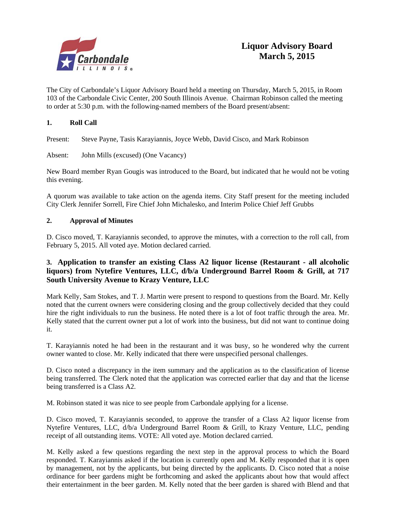

The City of Carbondale's Liquor Advisory Board held a meeting on Thursday, March 5, 2015, in Room 103 of the Carbondale Civic Center, 200 South Illinois Avenue. Chairman Robinson called the meeting to order at 5:30 p.m. with the following-named members of the Board present/absent:

# **1. Roll Call**

Present: Steve Payne, Tasis Karayiannis, Joyce Webb, David Cisco, and Mark Robinson

#### Absent: John Mills (excused) (One Vacancy)

New Board member Ryan Gougis was introduced to the Board, but indicated that he would not be voting this evening.

A quorum was available to take action on the agenda items. City Staff present for the meeting included City Clerk Jennifer Sorrell, Fire Chief John Michalesko, and Interim Police Chief Jeff Grubbs

# **2. Approval of Minutes**

D. Cisco moved, T. Karayiannis seconded, to approve the minutes, with a correction to the roll call, from February 5, 2015. All voted aye. Motion declared carried.

# **3. Application to transfer an existing Class A2 liquor license (Restaurant - all alcoholic liquors) from Nytefire Ventures, LLC, d/b/a Underground Barrel Room & Grill, at 717 South University Avenue to Krazy Venture, LLC**

Mark Kelly, Sam Stokes, and T. J. Martin were present to respond to questions from the Board. Mr. Kelly noted that the current owners were considering closing and the group collectively decided that they could hire the right individuals to run the business. He noted there is a lot of foot traffic through the area. Mr. Kelly stated that the current owner put a lot of work into the business, but did not want to continue doing it.

T. Karayiannis noted he had been in the restaurant and it was busy, so he wondered why the current owner wanted to close. Mr. Kelly indicated that there were unspecified personal challenges.

D. Cisco noted a discrepancy in the item summary and the application as to the classification of license being transferred. The Clerk noted that the application was corrected earlier that day and that the license being transferred is a Class A2.

M. Robinson stated it was nice to see people from Carbondale applying for a license.

D. Cisco moved, T. Karayiannis seconded, to approve the transfer of a Class A2 liquor license from Nytefire Ventures, LLC, d/b/a Underground Barrel Room & Grill, to Krazy Venture, LLC, pending receipt of all outstanding items. VOTE: All voted aye. Motion declared carried.

M. Kelly asked a few questions regarding the next step in the approval process to which the Board responded. T. Karayiannis asked if the location is currently open and M. Kelly responded that it is open by management, not by the applicants, but being directed by the applicants. D. Cisco noted that a noise ordinance for beer gardens might be forthcoming and asked the applicants about how that would affect their entertainment in the beer garden. M. Kelly noted that the beer garden is shared with Blend and that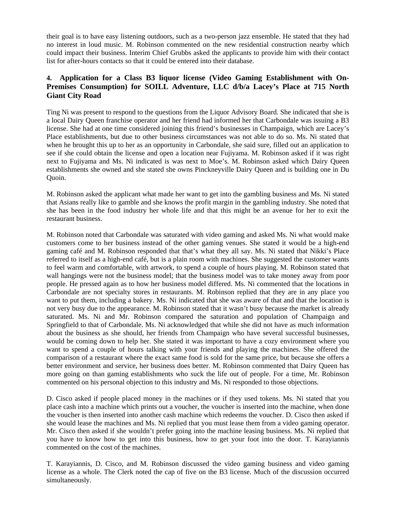their goal is to have easy listening outdoors, such as a two-person jazz ensemble. He stated that they had no interest in loud music. M. Robinson commented on the new residential construction nearby which could impact their business. Interim Chief Grubbs asked the applicants to provide him with their contact list for after-hours contacts so that it could be entered into their database.

# **4. Application for a Class B3 liquor license (Video Gaming Establishment with On-Premises Consumption) for SOILL Adventure, LLC d/b/a Lacey's Place at 715 North Giant City Road**

Ting Ni was present to respond to the questions from the Liquor Advisory Board. She indicated that she is a local Dairy Queen franchise operator and her friend had informed her that Carbondale was issuing a B3 license. She had at one time considered joining this friend's businesses in Champaign, which are Lacey's Place establishments, but due to other business circumstances was not able to do so. Ms. Ni stated that when he brought this up to her as an opportunity in Carbondale, she said sure, filled out an application to see if she could obtain the license and open a location near Fujiyama. M. Robinson asked if it was right next to Fujiyama and Ms. Ni indicated is was next to Moe's. M. Robinson asked which Dairy Queen establishments she owned and she stated she owns Pinckneyville Dairy Queen and is building one in Du Quoin.

M. Robinson asked the applicant what made her want to get into the gambling business and Ms. Ni stated that Asians really like to gamble and she knows the profit margin in the gambling industry. She noted that she has been in the food industry her whole life and that this might be an avenue for her to exit the restaurant business.

M. Robinson noted that Carbondale was saturated with video gaming and asked Ms. Ni what would make customers come to her business instead of the other gaming venues. She stated it would be a high-end gaming café and M. Robinson responded that that's what they all say. Ms. Ni stated that Nikki's Place referred to itself as a high-end café, but is a plain room with machines. She suggested the customer wants to feel warm and comfortable, with artwork, to spend a couple of hours playing. M. Robinson stated that wall hangings were not the business model; that the business model was to take money away from poor people. He pressed again as to how her business model differed. Ms. Ni commented that the locations in Carbondale are not specialty stores in restaurants. M. Robinson replied that they are in any place you want to put them, including a bakery. Ms. Ni indicated that she was aware of that and that the location is not very busy due to the appearance. M. Robinson stated that it wasn't busy because the market is already saturated. Ms. Ni and Mr. Robinson compared the saturation and population of Champaign and Springfield to that of Carbondale. Ms. Ni acknowledged that while she did not have as much information about the business as she should, her friends from Champaign who have several successful businesses, would be coming down to help her. She stated it was important to have a cozy environment where you want to spend a couple of hours talking with your friends and playing the machines. She offered the comparison of a restaurant where the exact same food is sold for the same price, but because she offers a better environment and service, her business does better. M. Robinson commented that Dairy Queen has more going on than gaming establishments who suck the life out of people. For a time, Mr. Robinson commented on his personal objection to this industry and Ms. Ni responded to those objections.

D. Cisco asked if people placed money in the machines or if they used tokens. Ms. Ni stated that you place cash into a machine which prints out a voucher, the voucher is inserted into the machine, when done the voucher is then inserted into another cash machine which redeems the voucher. D. Cisco then asked if she would lease the machines and Ms. Ni replied that you must lease them from a video gaming operator. Mr. Cisco then asked if she wouldn't prefer going into the machine leasing business. Ms. Ni replied that you have to know how to get into this business, how to get your foot into the door. T. Karayiannis commented on the cost of the machines.

T. Karayiannis, D. Cisco, and M. Robinson discussed the video gaming business and video gaming license as a whole. The Clerk noted the cap of five on the B3 license. Much of the discussion occurred simultaneously.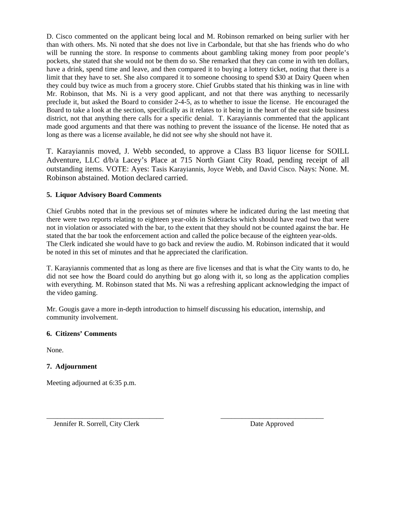D. Cisco commented on the applicant being local and M. Robinson remarked on being surlier with her than with others. Ms. Ni noted that she does not live in Carbondale, but that she has friends who do who will be running the store. In response to comments about gambling taking money from poor people's pockets, she stated that she would not be them do so. She remarked that they can come in with ten dollars, have a drink, spend time and leave, and then compared it to buying a lottery ticket, noting that there is a limit that they have to set. She also compared it to someone choosing to spend \$30 at Dairy Queen when they could buy twice as much from a grocery store. Chief Grubbs stated that his thinking was in line with Mr. Robinson, that Ms. Ni is a very good applicant, and not that there was anything to necessarily preclude it, but asked the Board to consider 2-4-5, as to whether to issue the license. He encouraged the Board to take a look at the section, specifically as it relates to it being in the heart of the east side business district, not that anything there calls for a specific denial. T. Karayiannis commented that the applicant made good arguments and that there was nothing to prevent the issuance of the license. He noted that as long as there was a license available, he did not see why she should not have it.

T. Karayiannis moved, J. Webb seconded, to approve a Class B3 liquor license for SOILL Adventure, LLC d/b/a Lacey's Place at 715 North Giant City Road, pending receipt of all outstanding items. VOTE: Ayes: Tasis Karayiannis, Joyce Webb, and David Cisco. Nays: None. M. Robinson abstained. Motion declared carried.

#### **5. Liquor Advisory Board Comments**

Chief Grubbs noted that in the previous set of minutes where he indicated during the last meeting that there were two reports relating to eighteen year-olds in Sidetracks which should have read two that were not in violation or associated with the bar, to the extent that they should not be counted against the bar. He stated that the bar took the enforcement action and called the police because of the eighteen year-olds. The Clerk indicated she would have to go back and review the audio. M. Robinson indicated that it would be noted in this set of minutes and that he appreciated the clarification.

T. Karayiannis commented that as long as there are five licenses and that is what the City wants to do, he did not see how the Board could do anything but go along with it, so long as the application complies with everything. M. Robinson stated that Ms. Ni was a refreshing applicant acknowledging the impact of the video gaming.

Mr. Gougis gave a more in-depth introduction to himself discussing his education, internship, and community involvement.

\_\_\_\_\_\_\_\_\_\_\_\_\_\_\_\_\_\_\_\_\_\_\_\_\_\_\_\_\_\_\_\_\_ \_\_\_\_\_\_\_\_\_\_\_\_\_\_\_\_\_\_\_\_\_\_\_\_\_\_\_\_\_

#### **6. Citizens' Comments**

None.

# **7. Adjournment**

Meeting adjourned at 6:35 p.m.

Jennifer R. Sorrell, City Clerk Date Approved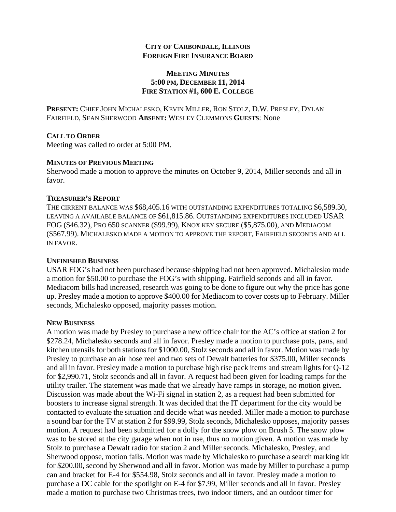# **CITY OF CARBONDALE, ILLINOIS FOREIGN FIRE INSURANCE BOARD**

# **MEETING MINUTES 5:00 PM, DECEMBER 11, 2014 FIRE STATION #1, 600 E. COLLEGE**

**PRESENT:** CHIEF JOHN MICHALESKO, KEVIN MILLER, RON STOLZ, D.W. PRESLEY, DYLAN FAIRFIELD, SEAN SHERWOOD **ABSENT:** WESLEY CLEMMONS **GUESTS**: None

# **CALL TO ORDER**

Meeting was called to order at 5:00 PM.

# **MINUTES OF PREVIOUS MEETING**

Sherwood made a motion to approve the minutes on October 9, 2014, Miller seconds and all in favor.

# **TREASURER'S REPORT**

THE CIRRENT BALANCE WAS \$68,405.16 WITH OUTSTANDING EXPENDITURES TOTALING \$6,589.30, LEAVING A AVAILABLE BALANCE OF \$61,815.86. OUTSTANDING EXPENDITURES INCLUDED USAR FOG (\$46.32), PRO 650 SCANNER (\$99.99), KNOX KEY SECURE (\$5,875.00), AND MEDIACOM (\$567.99). MICHALESKO MADE A MOTION TO APPROVE THE REPORT, FAIRFIELD SECONDS AND ALL IN FAVOR.

# **UNFINISHED BUSINESS**

USAR FOG's had not been purchased because shipping had not been approved. Michalesko made a motion for \$50.00 to purchase the FOG's with shipping. Fairfield seconds and all in favor. Mediacom bills had increased, research was going to be done to figure out why the price has gone up. Presley made a motion to approve \$400.00 for Mediacom to cover costs up to February. Miller seconds, Michalesko opposed, majority passes motion.

# **NEW BUSINESS**

A motion was made by Presley to purchase a new office chair for the AC's office at station 2 for \$278.24, Michalesko seconds and all in favor. Presley made a motion to purchase pots, pans, and kitchen utensils for both stations for \$1000.00, Stolz seconds and all in favor. Motion was made by Presley to purchase an air hose reel and two sets of Dewalt batteries for \$375.00, Miller seconds and all in favor. Presley made a motion to purchase high rise pack items and stream lights for Q-12 for \$2,990.71, Stolz seconds and all in favor. A request had been given for loading ramps for the utility trailer. The statement was made that we already have ramps in storage, no motion given. Discussion was made about the Wi-Fi signal in station 2, as a request had been submitted for boosters to increase signal strength. It was decided that the IT department for the city would be contacted to evaluate the situation and decide what was needed. Miller made a motion to purchase a sound bar for the TV at station 2 for \$99.99, Stolz seconds, Michalesko opposes, majority passes motion. A request had been submitted for a dolly for the snow plow on Brush 5. The snow plow was to be stored at the city garage when not in use, thus no motion given. A motion was made by Stolz to purchase a Dewalt radio for station 2 and Miller seconds. Michalesko, Presley, and Sherwood oppose, motion fails. Motion was made by Michalesko to purchase a search marking kit for \$200.00, second by Sherwood and all in favor. Motion was made by Miller to purchase a pump can and bracket for E-4 for \$554.98, Stolz seconds and all in favor. Presley made a motion to purchase a DC cable for the spotlight on E-4 for \$7.99, Miller seconds and all in favor. Presley made a motion to purchase two Christmas trees, two indoor timers, and an outdoor timer for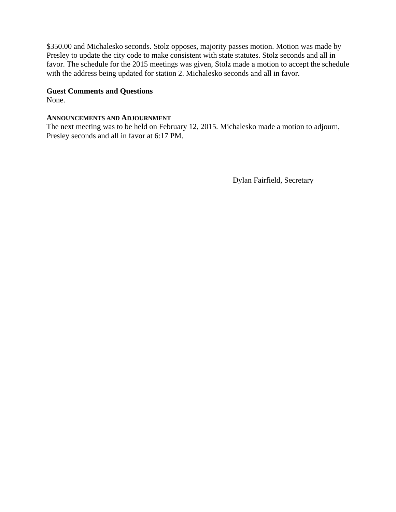\$350.00 and Michalesko seconds. Stolz opposes, majority passes motion. Motion was made by Presley to update the city code to make consistent with state statutes. Stolz seconds and all in favor. The schedule for the 2015 meetings was given, Stolz made a motion to accept the schedule with the address being updated for station 2. Michalesko seconds and all in favor.

# **Guest Comments and Questions**

None.

# **ANNOUNCEMENTS AND ADJOURNMENT**

The next meeting was to be held on February 12, 2015. Michalesko made a motion to adjourn, Presley seconds and all in favor at 6:17 PM.

Dylan Fairfield, Secretary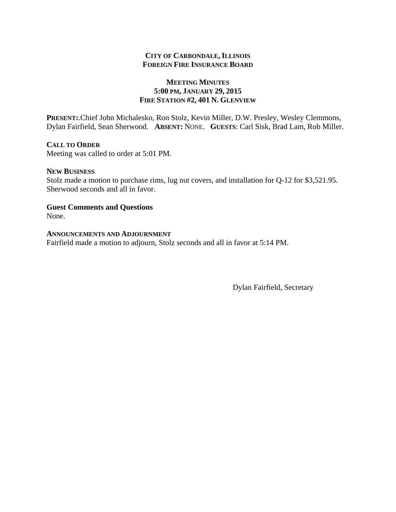# **CITY OF CARBONDALE, ILLINOIS FOREIGN FIRE INSURANCE BOARD**

# **MEETING MINUTES 5:00 PM, JANUARY 29, 2015 FIRE STATION #2, 401 N. GLENVIEW**

**PRESENT:**.Chief John Michalesko, Ron Stolz, Kevin Miller, D.W. Presley, Wesley Clemmons, Dylan Fairfield, Sean Sherwood. **ABSENT:** NONE. **GUESTS**: Carl Sisk, Brad Lam, Rob Miller.

# **CALL TO ORDER**

Meeting was called to order at 5:01 PM.

#### **NEW BUSINESS**

Stolz made a motion to purchase rims, lug nut covers, and installation for Q-12 for \$3,521.95. Sherwood seconds and all in favor.

# **Guest Comments and Questions**

None.

#### **ANNOUNCEMENTS AND ADJOURNMENT**

Fairfield made a motion to adjourn, Stolz seconds and all in favor at 5:14 PM.

Dylan Fairfield, Secretary